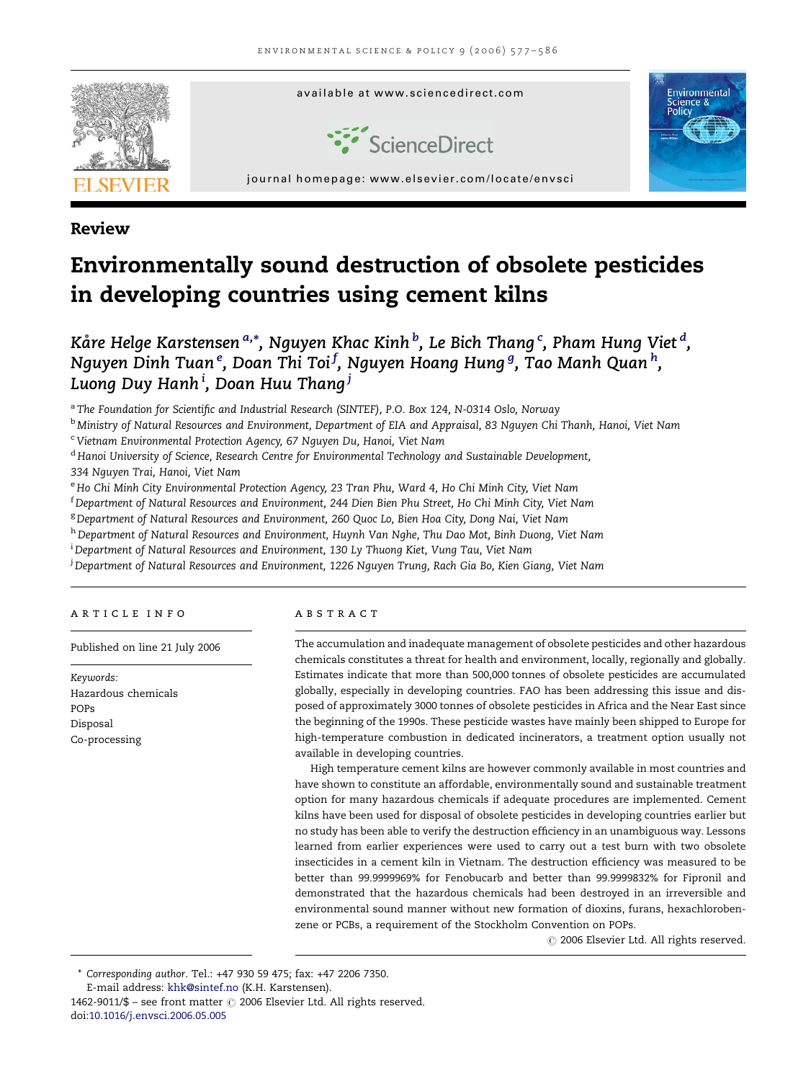

Review

# Environmentally sound destruction of obsolete pesticides in developing countries using cement kilns

Kåre Helge Karstensen $^{\,a,\ast},$  Nguyen Khac Kinh $^b$ , Le Bich Thang $^c$ , Pham Hung Viet $^d$ , Nguyen Dinh Tuan $\ ^{\rm e}$ , Doan Thi Toi $^{\rm f}$ , Nguyen Hoang Hung $^{\rm g}$ , Tao Manh Quan $^{\rm h}$ , Luong Duy Hanh<sup>i</sup>, Doan Huu Thang<sup>j</sup>

<sup>a</sup> The Foundation for Scientific and Industrial Research (SINTEF), P.O. Box 124, N-0314 Oslo, Norway

<sup>b</sup> Ministry of Natural Resources and Environment, Department of EIA and Appraisal, 83 Nguyen Chi Thanh, Hanoi, Viet Nam

<sup>c</sup> Vietnam Environmental Protection Agency, 67 Nguyen Du, Hanoi, Viet Nam

<sup>d</sup> Hanoi University of Science, Research Centre for Environmental Technology and Sustainable Development,

334 Nguyen Trai, Hanoi, Viet Nam

e Ho Chi Minh City Environmental Protection Agency, 23 Tran Phu, Ward 4, Ho Chi Minh City, Viet Nam

f Department of Natural Resources and Environment, 244 Dien Bien Phu Street, Ho Chi Minh City, Viet Nam

<sup>g</sup> Department of Natural Resources and Environment, 260 Quoc Lo, Bien Hoa City, Dong Nai, Viet Nam

h Department of Natural Resources and Environment, Huynh Van Nghe, Thu Dao Mot, Binh Duong, Viet Nam

<sup>i</sup> Department of Natural Resources and Environment, 130 Ly Thuong Kiet, Vung Tau, Viet Nam

j Department of Natural Resources and Environment, 1226 Nguyen Trung, Rach Gia Bo, Kien Giang, Viet Nam

article info

Published on line 21 July 2006

Keywords: Hazardous chemicals POPs Disposal Co-processing

#### **ABSTRACT**

The accumulation and inadequate management of obsolete pesticides and other hazardous chemicals constitutes a threat for health and environment, locally, regionally and globally. Estimates indicate that more than 500,000 tonnes of obsolete pesticides are accumulated globally, especially in developing countries. FAO has been addressing this issue and disposed of approximately 3000 tonnes of obsolete pesticides in Africa and the Near East since the beginning of the 1990s. These pesticide wastes have mainly been shipped to Europe for high-temperature combustion in dedicated incinerators, a treatment option usually not available in developing countries.

High temperature cement kilns are however commonly available in most countries and have shown to constitute an affordable, environmentally sound and sustainable treatment option for many hazardous chemicals if adequate procedures are implemented. Cement kilns have been used for disposal of obsolete pesticides in developing countries earlier but no study has been able to verify the destruction efficiency in an unambiguous way. Lessons learned from earlier experiences were used to carry out a test burn with two obsolete insecticides in a cement kiln in Vietnam. The destruction efficiency was measured to be better than 99.9999969% for Fenobucarb and better than 99.9999832% for Fipronil and demonstrated that the hazardous chemicals had been destroyed in an irreversible and environmental sound manner without new formation of dioxins, furans, hexachlorobenzene or PCBs, a requirement of the Stockholm Convention on POPs.

 $\circ$  2006 Elsevier Ltd. All rights reserved.

doi[:10.1016/j.envsci.2006.05.005](http://dx.doi.org/10.1016/j.envsci.2006.05.005)

<sup>\*</sup> Corresponding author. Tel.: +47 930 59 475; fax: +47 2206 7350. E-mail address: [khk@sintef.no](mailto:khk@sintef.no) (K.H. Karstensen). 1462-9011/\$ - see front matter @ 2006 Elsevier Ltd. All rights reserved.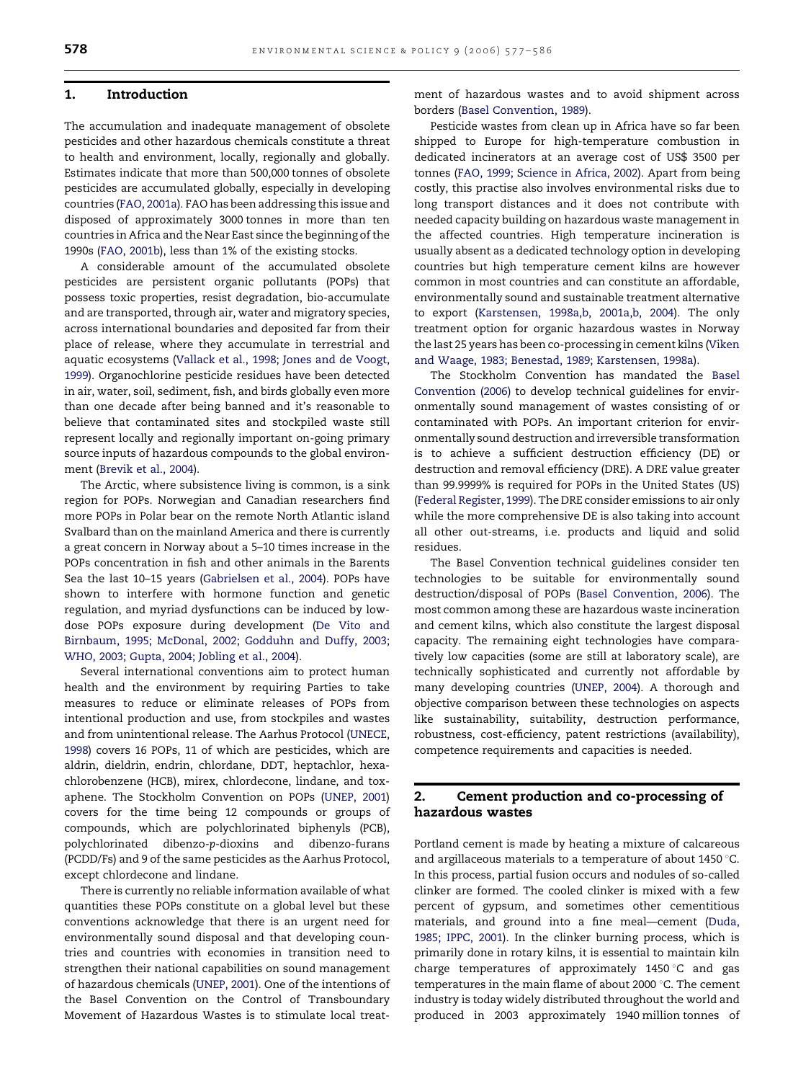## 1. Introduction

The accumulation and inadequate management of obsolete pesticides and other hazardous chemicals constitute a threat to health and environment, locally, regionally and globally. Estimates indicate that more than 500,000 tonnes of obsolete pesticides are accumulated globally, especially in developing countries ([FAO, 2001a](#page-8-0)). FAO has been addressing this issue and disposed of approximately 3000 tonnes in more than ten countries in Africa and the Near East since the beginning of the 1990s ([FAO, 2001b](#page-8-0)), less than 1% of the existing stocks.

A considerable amount of the accumulated obsolete pesticides are persistent organic pollutants (POPs) that possess toxic properties, resist degradation, bio-accumulate and are transported, through air, water and migratory species, across international boundaries and deposited far from their place of release, where they accumulate in terrestrial and aquatic ecosystems [\(Vallack et al., 1998; Jones and de Voogt,](#page-9-0) [1999\)](#page-9-0). Organochlorine pesticide residues have been detected in air, water, soil, sediment, fish, and birds globally even more than one decade after being banned and it's reasonable to believe that contaminated sites and stockpiled waste still represent locally and regionally important on-going primary source inputs of hazardous compounds to the global environment [\(Brevik et al., 2004](#page-8-0)).

The Arctic, where subsistence living is common, is a sink region for POPs. Norwegian and Canadian researchers find more POPs in Polar bear on the remote North Atlantic island Svalbard than on the mainland America and there is currently a great concern in Norway about a 5–10 times increase in the POPs concentration in fish and other animals in the Barents Sea the last 10–15 years [\(Gabrielsen et al., 2004](#page-8-0)). POPs have shown to interfere with hormone function and genetic regulation, and myriad dysfunctions can be induced by lowdose POPs exposure during development [\(De Vito and](#page-8-0) [Birnbaum, 1995; McDonal, 2002; Godduhn and Duffy, 2003;](#page-8-0) [WHO, 2003; Gupta, 2004; Jobling et al., 2004](#page-8-0)).

Several international conventions aim to protect human health and the environment by requiring Parties to take measures to reduce or eliminate releases of POPs from intentional production and use, from stockpiles and wastes and from unintentional release. The Aarhus Protocol [\(UNECE,](#page-9-0) [1998\)](#page-9-0) covers 16 POPs, 11 of which are pesticides, which are aldrin, dieldrin, endrin, chlordane, DDT, heptachlor, hexachlorobenzene (HCB), mirex, chlordecone, lindane, and toxaphene. The Stockholm Convention on POPs [\(UNEP, 2001\)](#page-9-0) covers for the time being 12 compounds or groups of compounds, which are polychlorinated biphenyls (PCB), polychlorinated dibenzo-p-dioxins and dibenzo-furans (PCDD/Fs) and 9 of the same pesticides as the Aarhus Protocol, except chlordecone and lindane.

There is currently no reliable information available of what quantities these POPs constitute on a global level but these conventions acknowledge that there is an urgent need for environmentally sound disposal and that developing countries and countries with economies in transition need to strengthen their national capabilities on sound management of hazardous chemicals ([UNEP, 2001](#page-9-0)). One of the intentions of the Basel Convention on the Control of Transboundary Movement of Hazardous Wastes is to stimulate local treatment of hazardous wastes and to avoid shipment across borders [\(Basel Convention, 1989\)](#page-8-0).

Pesticide wastes from clean up in Africa have so far been shipped to Europe for high-temperature combustion in dedicated incinerators at an average cost of US\$ 3500 per tonnes [\(FAO, 1999; Science in Africa, 2002](#page-8-0)). Apart from being costly, this practise also involves environmental risks due to long transport distances and it does not contribute with needed capacity building on hazardous waste management in the affected countries. High temperature incineration is usually absent as a dedicated technology option in developing countries but high temperature cement kilns are however common in most countries and can constitute an affordable, environmentally sound and sustainable treatment alternative to export [\(Karstensen, 1998a,b, 2001a,b, 2004](#page-8-0)). The only treatment option for organic hazardous wastes in Norway the last 25 years has been co-processing in cement kilns ([Viken](#page-9-0) [and Waage, 1983; Benestad, 1989; Karstensen, 1998a](#page-9-0)).

The Stockholm Convention has mandated the [Basel](#page-8-0) [Convention \(2006\)](#page-8-0) to develop technical guidelines for environmentally sound management of wastes consisting of or contaminated with POPs. An important criterion for environmentally sound destruction and irreversible transformation is to achieve a sufficient destruction efficiency (DE) or destruction and removal efficiency (DRE). A DRE value greater than 99.9999% is required for POPs in the United States (US) ([Federal Register, 1999](#page-8-0)). The DRE consider emissions to air only while the more comprehensive DE is also taking into account all other out-streams, i.e. products and liquid and solid residues.

The Basel Convention technical guidelines consider ten technologies to be suitable for environmentally sound destruction/disposal of POPs ([Basel Convention, 2006\)](#page-8-0). The most common among these are hazardous waste incineration and cement kilns, which also constitute the largest disposal capacity. The remaining eight technologies have comparatively low capacities (some are still at laboratory scale), are technically sophisticated and currently not affordable by many developing countries [\(UNEP, 2004](#page-9-0)). A thorough and objective comparison between these technologies on aspects like sustainability, suitability, destruction performance, robustness, cost-efficiency, patent restrictions (availability), competence requirements and capacities is needed.

# 2. Cement production and co-processing of hazardous wastes

Portland cement is made by heating a mixture of calcareous and argillaceous materials to a temperature of about 1450  $^\circ\text{C}.$ In this process, partial fusion occurs and nodules of so-called clinker are formed. The cooled clinker is mixed with a few percent of gypsum, and sometimes other cementitious materials, and ground into a fine meal—cement [\(Duda,](#page-8-0) [1985; IPPC, 2001](#page-8-0)). In the clinker burning process, which is primarily done in rotary kilns, it is essential to maintain kiln charge temperatures of approximately 1450 $\degree$ C and gas temperatures in the main flame of about 2000  $\degree$ C. The cement industry is today widely distributed throughout the world and produced in 2003 approximately 1940 million tonnes of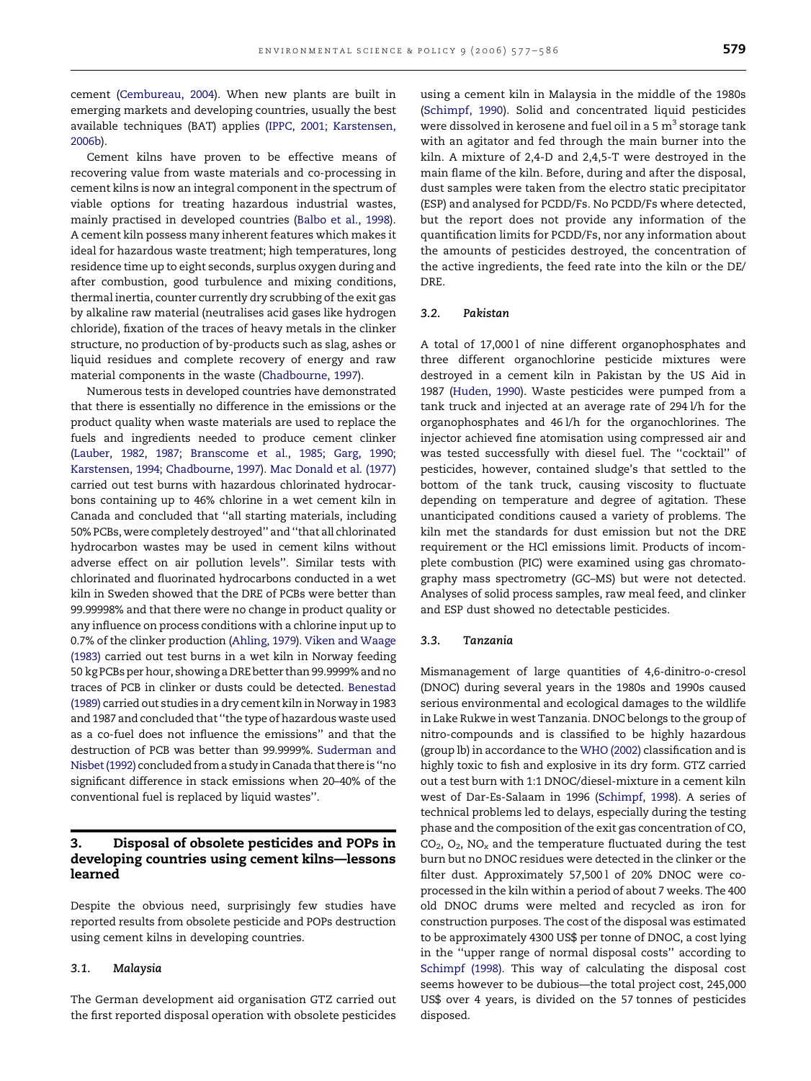cement ([Cembureau, 2004](#page-8-0)). When new plants are built in emerging markets and developing countries, usually the best available techniques (BAT) applies [\(IPPC, 2001; Karstensen,](#page-8-0) [2006b](#page-8-0)).

Cement kilns have proven to be effective means of recovering value from waste materials and co-processing in cement kilns is now an integral component in the spectrum of viable options for treating hazardous industrial wastes, mainly practised in developed countries [\(Balbo et al., 1998](#page-8-0)). A cement kiln possess many inherent features which makes it ideal for hazardous waste treatment; high temperatures, long residence time up to eight seconds, surplus oxygen during and after combustion, good turbulence and mixing conditions, thermal inertia, counter currently dry scrubbing of the exit gas by alkaline raw material (neutralises acid gases like hydrogen chloride), fixation of the traces of heavy metals in the clinker structure, no production of by-products such as slag, ashes or liquid residues and complete recovery of energy and raw material components in the waste [\(Chadbourne, 1997\)](#page-8-0).

Numerous tests in developed countries have demonstrated that there is essentially no difference in the emissions or the product quality when waste materials are used to replace the fuels and ingredients needed to produce cement clinker [\(Lauber, 1982, 1987; Branscome et al., 1985; Garg, 1990;](#page-9-0) [Karstensen, 1994; Chadbourne, 1997](#page-9-0)). [Mac Donald et al. \(1977\)](#page-9-0) carried out test burns with hazardous chlorinated hydrocarbons containing up to 46% chlorine in a wet cement kiln in Canada and concluded that ''all starting materials, including 50% PCBs, were completely destroyed'' and ''that all chlorinated hydrocarbon wastes may be used in cement kilns without adverse effect on air pollution levels''. Similar tests with chlorinated and fluorinated hydrocarbons conducted in a wet kiln in Sweden showed that the DRE of PCBs were better than 99.99998% and that there were no change in product quality or any influence on process conditions with a chlorine input up to 0.7% of the clinker production [\(Ahling, 1979](#page-8-0)). [Viken and Waage](#page-9-0) [\(1983\)](#page-9-0) carried out test burns in a wet kiln in Norway feeding 50 kg PCBs per hour, showing a DRE better than 99.9999% and no traces of PCB in clinker or dusts could be detected. [Benestad](#page-8-0) [\(1989\)](#page-8-0) carried out studies in a dry cement kiln in Norway in 1983 and 1987 and concluded that ''the type of hazardous waste used as a co-fuel does not influence the emissions'' and that the destruction of PCB was better than 99.9999%. [Suderman and](#page-9-0) [Nisbet \(1992\)](#page-9-0) concluded from a study in Canada that there is ''no significant difference in stack emissions when 20–40% of the conventional fuel is replaced by liquid wastes''.

# 3. Disposal of obsolete pesticides and POPs in developing countries using cement kilns—lessons learned

Despite the obvious need, surprisingly few studies have reported results from obsolete pesticide and POPs destruction using cement kilns in developing countries.

#### 3.1. Malaysia

The German development aid organisation GTZ carried out the first reported disposal operation with obsolete pesticides

using a cement kiln in Malaysia in the middle of the 1980s [\(Schimpf, 1990\)](#page-9-0). Solid and concentrated liquid pesticides were dissolved in kerosene and fuel oil in a 5  $m^3$  storage tank with an agitator and fed through the main burner into the kiln. A mixture of 2,4-D and 2,4,5-T were destroyed in the main flame of the kiln. Before, during and after the disposal, dust samples were taken from the electro static precipitator (ESP) and analysed for PCDD/Fs. No PCDD/Fs where detected, but the report does not provide any information of the quantification limits for PCDD/Fs, nor any information about the amounts of pesticides destroyed, the concentration of the active ingredients, the feed rate into the kiln or the DE/ DRE.

# 3.2. Pakistan

A total of 17,000 l of nine different organophosphates and three different organochlorine pesticide mixtures were destroyed in a cement kiln in Pakistan by the US Aid in 1987 ([Huden, 1990](#page-8-0)). Waste pesticides were pumped from a tank truck and injected at an average rate of 294 l/h for the organophosphates and 46 l/h for the organochlorines. The injector achieved fine atomisation using compressed air and was tested successfully with diesel fuel. The ''cocktail'' of pesticides, however, contained sludge's that settled to the bottom of the tank truck, causing viscosity to fluctuate depending on temperature and degree of agitation. These unanticipated conditions caused a variety of problems. The kiln met the standards for dust emission but not the DRE requirement or the HCl emissions limit. Products of incomplete combustion (PIC) were examined using gas chromatography mass spectrometry (GC–MS) but were not detected. Analyses of solid process samples, raw meal feed, and clinker and ESP dust showed no detectable pesticides.

#### 3.3. Tanzania

Mismanagement of large quantities of 4,6-dinitro-o-cresol (DNOC) during several years in the 1980s and 1990s caused serious environmental and ecological damages to the wildlife in Lake Rukwe in west Tanzania. DNOC belongs to the group of nitro-compounds and is classified to be highly hazardous (group lb) in accordance to the [WHO \(2002\)](#page-9-0) classification and is highly toxic to fish and explosive in its dry form. GTZ carried out a test burn with 1:1 DNOC/diesel-mixture in a cement kiln west of Dar-Es-Salaam in 1996 ([Schimpf, 1998\)](#page-9-0). A series of technical problems led to delays, especially during the testing phase and the composition of the exit gas concentration of CO,  $CO<sub>2</sub>$ ,  $O<sub>2</sub>$ , NO<sub>x</sub> and the temperature fluctuated during the test burn but no DNOC residues were detected in the clinker or the filter dust. Approximately 57,5001 of 20% DNOC were coprocessed in the kiln within a period of about 7 weeks. The 400 old DNOC drums were melted and recycled as iron for construction purposes. The cost of the disposal was estimated to be approximately 4300 US\$ per tonne of DNOC, a cost lying in the ''upper range of normal disposal costs'' according to [Schimpf \(1998\).](#page-9-0) This way of calculating the disposal cost seems however to be dubious—the total project cost, 245,000 US\$ over 4 years, is divided on the 57 tonnes of pesticides disposed.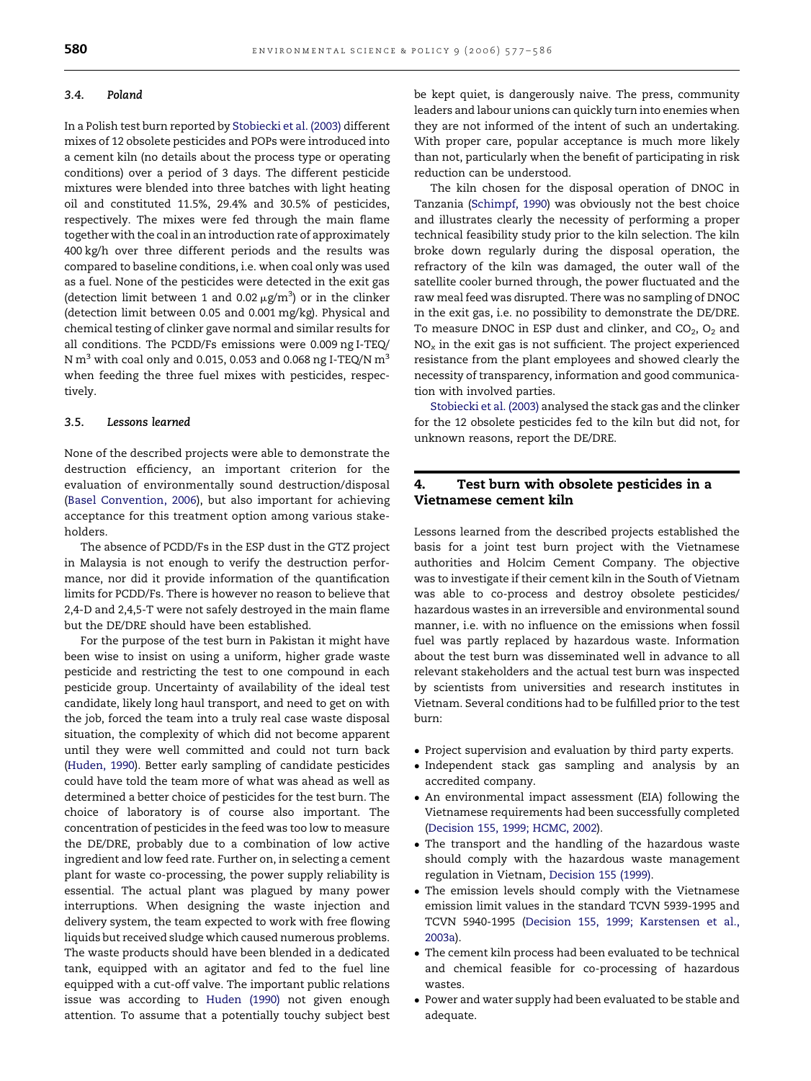#### 3.4. Poland

In a Polish test burn reported by [Stobiecki et al. \(2003\)](#page-9-0) different mixes of 12 obsolete pesticides and POPs were introduced into a cement kiln (no details about the process type or operating conditions) over a period of 3 days. The different pesticide mixtures were blended into three batches with light heating oil and constituted 11.5%, 29.4% and 30.5% of pesticides, respectively. The mixes were fed through the main flame together with the coal in an introduction rate of approximately 400 kg/h over three different periods and the results was compared to baseline conditions, i.e. when coal only was used as a fuel. None of the pesticides were detected in the exit gas (detection limit between 1 and 0.02  $\mu$ g/m<sup>3</sup>) or in the clinker (detection limit between 0.05 and 0.001 mg/kg). Physical and chemical testing of clinker gave normal and similar results for all conditions. The PCDD/Fs emissions were 0.009 ng I-TEQ/ N  $m^3$  with coal only and 0.015, 0.053 and 0.068 ng I-TEQ/N  $m^3$ when feeding the three fuel mixes with pesticides, respectively.

#### 3.5. Lessons learned

None of the described projects were able to demonstrate the destruction efficiency, an important criterion for the evaluation of environmentally sound destruction/disposal ([Basel Convention, 2006](#page-8-0)), but also important for achieving acceptance for this treatment option among various stakeholders.

The absence of PCDD/Fs in the ESP dust in the GTZ project in Malaysia is not enough to verify the destruction performance, nor did it provide information of the quantification limits for PCDD/Fs. There is however no reason to believe that 2,4-D and 2,4,5-T were not safely destroyed in the main flame but the DE/DRE should have been established.

For the purpose of the test burn in Pakistan it might have been wise to insist on using a uniform, higher grade waste pesticide and restricting the test to one compound in each pesticide group. Uncertainty of availability of the ideal test candidate, likely long haul transport, and need to get on with the job, forced the team into a truly real case waste disposal situation, the complexity of which did not become apparent until they were well committed and could not turn back ([Huden, 1990\)](#page-8-0). Better early sampling of candidate pesticides could have told the team more of what was ahead as well as determined a better choice of pesticides for the test burn. The choice of laboratory is of course also important. The concentration of pesticides in the feed was too low to measure the DE/DRE, probably due to a combination of low active ingredient and low feed rate. Further on, in selecting a cement plant for waste co-processing, the power supply reliability is essential. The actual plant was plagued by many power interruptions. When designing the waste injection and delivery system, the team expected to work with free flowing liquids but received sludge which caused numerous problems. The waste products should have been blended in a dedicated tank, equipped with an agitator and fed to the fuel line equipped with a cut-off valve. The important public relations issue was according to [Huden \(1990\)](#page-8-0) not given enough attention. To assume that a potentially touchy subject best

be kept quiet, is dangerously naive. The press, community leaders and labour unions can quickly turn into enemies when they are not informed of the intent of such an undertaking. With proper care, popular acceptance is much more likely than not, particularly when the benefit of participating in risk reduction can be understood.

The kiln chosen for the disposal operation of DNOC in Tanzania [\(Schimpf, 1990\)](#page-9-0) was obviously not the best choice and illustrates clearly the necessity of performing a proper technical feasibility study prior to the kiln selection. The kiln broke down regularly during the disposal operation, the refractory of the kiln was damaged, the outer wall of the satellite cooler burned through, the power fluctuated and the raw meal feed was disrupted. There was no sampling of DNOC in the exit gas, i.e. no possibility to demonstrate the DE/DRE. To measure DNOC in ESP dust and clinker, and  $CO<sub>2</sub>$ ,  $O<sub>2</sub>$  and  $NO<sub>x</sub>$  in the exit gas is not sufficient. The project experienced resistance from the plant employees and showed clearly the necessity of transparency, information and good communication with involved parties.

[Stobiecki et al. \(2003\)](#page-9-0) analysed the stack gas and the clinker for the 12 obsolete pesticides fed to the kiln but did not, for unknown reasons, report the DE/DRE.

# 4. Test burn with obsolete pesticides in a Vietnamese cement kiln

Lessons learned from the described projects established the basis for a joint test burn project with the Vietnamese authorities and Holcim Cement Company. The objective was to investigate if their cement kiln in the South of Vietnam was able to co-process and destroy obsolete pesticides/ hazardous wastes in an irreversible and environmental sound manner, i.e. with no influence on the emissions when fossil fuel was partly replaced by hazardous waste. Information about the test burn was disseminated well in advance to all relevant stakeholders and the actual test burn was inspected by scientists from universities and research institutes in Vietnam. Several conditions had to be fulfilled prior to the test burn:

- Project supervision and evaluation by third party experts.
- Independent stack gas sampling and analysis by an accredited company.
- An environmental impact assessment (EIA) following the Vietnamese requirements had been successfully completed ([Decision 155, 1999; HCMC, 2002](#page-8-0)).
- The transport and the handling of the hazardous waste should comply with the hazardous waste management regulation in Vietnam, [Decision 155 \(1999\)](#page-8-0).
- The emission levels should comply with the Vietnamese emission limit values in the standard TCVN 5939-1995 and TCVN 5940-1995 [\(Decision 155, 1999; Karstensen et al.,](#page-8-0) [2003a](#page-8-0)).
- The cement kiln process had been evaluated to be technical and chemical feasible for co-processing of hazardous wastes.
- Power and water supply had been evaluated to be stable and adequate.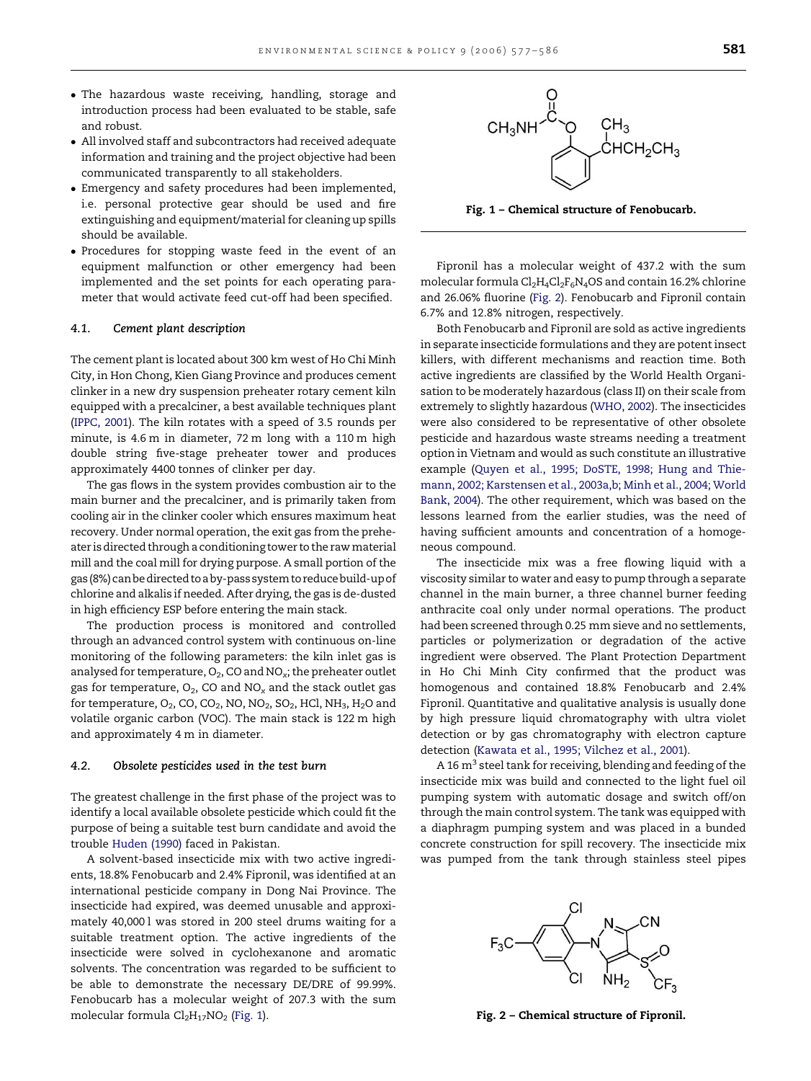- The hazardous waste receiving, handling, storage and introduction process had been evaluated to be stable, safe and robust.
- All involved staff and subcontractors had received adequate information and training and the project objective had been communicated transparently to all stakeholders.
- Emergency and safety procedures had been implemented, i.e. personal protective gear should be used and fire extinguishing and equipment/material for cleaning up spills should be available.
- Procedures for stopping waste feed in the event of an equipment malfunction or other emergency had been implemented and the set points for each operating parameter that would activate feed cut-off had been specified.

## 4.1. Cement plant description

The cement plant is located about 300 km west of Ho Chi Minh City, in Hon Chong, Kien Giang Province and produces cement clinker in a new dry suspension preheater rotary cement kiln equipped with a precalciner, a best available techniques plant [\(IPPC, 2001](#page-8-0)). The kiln rotates with a speed of 3.5 rounds per minute, is 4.6 m in diameter, 72 m long with a 110 m high double string five-stage preheater tower and produces approximately 4400 tonnes of clinker per day.

The gas flows in the system provides combustion air to the main burner and the precalciner, and is primarily taken from cooling air in the clinker cooler which ensures maximum heat recovery. Under normal operation, the exit gas from the preheater is directed through a conditioning tower to the rawmaterial mill and the coal mill for drying purpose. A small portion of the gas (8%) canbe directed to a by-pass system to reduce build-upof chlorine and alkalis if needed. After drying, the gas is de-dusted in high efficiency ESP before entering the main stack.

The production process is monitored and controlled through an advanced control system with continuous on-line monitoring of the following parameters: the kiln inlet gas is analysed for temperature,  $O_2$ , CO and NO<sub>x</sub>; the preheater outlet gas for temperature,  $O_2$ , CO and NO<sub>x</sub> and the stack outlet gas for temperature,  $O_2$ , CO, CO<sub>2</sub>, NO, NO<sub>2</sub>, SO<sub>2</sub>, HCl, NH<sub>3</sub>, H<sub>2</sub>O and volatile organic carbon (VOC). The main stack is 122 m high and approximately 4 m in diameter.

#### 4.2. Obsolete pesticides used in the test burn

The greatest challenge in the first phase of the project was to identify a local available obsolete pesticide which could fit the purpose of being a suitable test burn candidate and avoid the trouble [Huden \(1990\)](#page-8-0) faced in Pakistan.

A solvent-based insecticide mix with two active ingredients, 18.8% Fenobucarb and 2.4% Fipronil, was identified at an international pesticide company in Dong Nai Province. The insecticide had expired, was deemed unusable and approximately 40,000 l was stored in 200 steel drums waiting for a suitable treatment option. The active ingredients of the insecticide were solved in cyclohexanone and aromatic solvents. The concentration was regarded to be sufficient to be able to demonstrate the necessary DE/DRE of 99.99%. Fenobucarb has a molecular weight of 207.3 with the sum molecular formula  $Cl<sub>2</sub>H<sub>17</sub>NO<sub>2</sub>$  (Fig. 1).



Fig. 1 – Chemical structure of Fenobucarb.

Fipronil has a molecular weight of 437.2 with the sum molecular formula  $\mathrm{Cl}_2\mathrm{H}_4\mathrm{Cl}_2\mathrm{F}_6\mathrm{N}_4$ OS and contain 16.2% chlorine and 26.06% fluorine (Fig. 2). Fenobucarb and Fipronil contain 6.7% and 12.8% nitrogen, respectively.

Both Fenobucarb and Fipronil are sold as active ingredients in separate insecticide formulations and they are potent insect killers, with different mechanisms and reaction time. Both active ingredients are classified by the World Health Organisation to be moderately hazardous (class II) on their scale from extremely to slightly hazardous [\(WHO, 2002\)](#page-9-0). The insecticides were also considered to be representative of other obsolete pesticide and hazardous waste streams needing a treatment option in Vietnam and would as such constitute an illustrative example ([Quyen et al., 1995; DoSTE, 1998; Hung and Thie](#page-9-0)[mann, 2002; Karstensen et al., 2003a,b; Minh et al., 2004; World](#page-9-0) [Bank, 2004\)](#page-9-0). The other requirement, which was based on the lessons learned from the earlier studies, was the need of having sufficient amounts and concentration of a homogeneous compound.

The insecticide mix was a free flowing liquid with a viscosity similar to water and easy to pump through a separate channel in the main burner, a three channel burner feeding anthracite coal only under normal operations. The product had been screened through 0.25 mm sieve and no settlements, particles or polymerization or degradation of the active ingredient were observed. The Plant Protection Department in Ho Chi Minh City confirmed that the product was homogenous and contained 18.8% Fenobucarb and 2.4% Fipronil. Quantitative and qualitative analysis is usually done by high pressure liquid chromatography with ultra violet detection or by gas chromatography with electron capture detection ([Kawata et al., 1995; Vilchez et al., 2001\)](#page-9-0).

A 16  $m<sup>3</sup>$  steel tank for receiving, blending and feeding of the insecticide mix was build and connected to the light fuel oil pumping system with automatic dosage and switch off/on through the main control system. The tank was equipped with a diaphragm pumping system and was placed in a bunded concrete construction for spill recovery. The insecticide mix was pumped from the tank through stainless steel pipes



Fig. 2 – Chemical structure of Fipronil.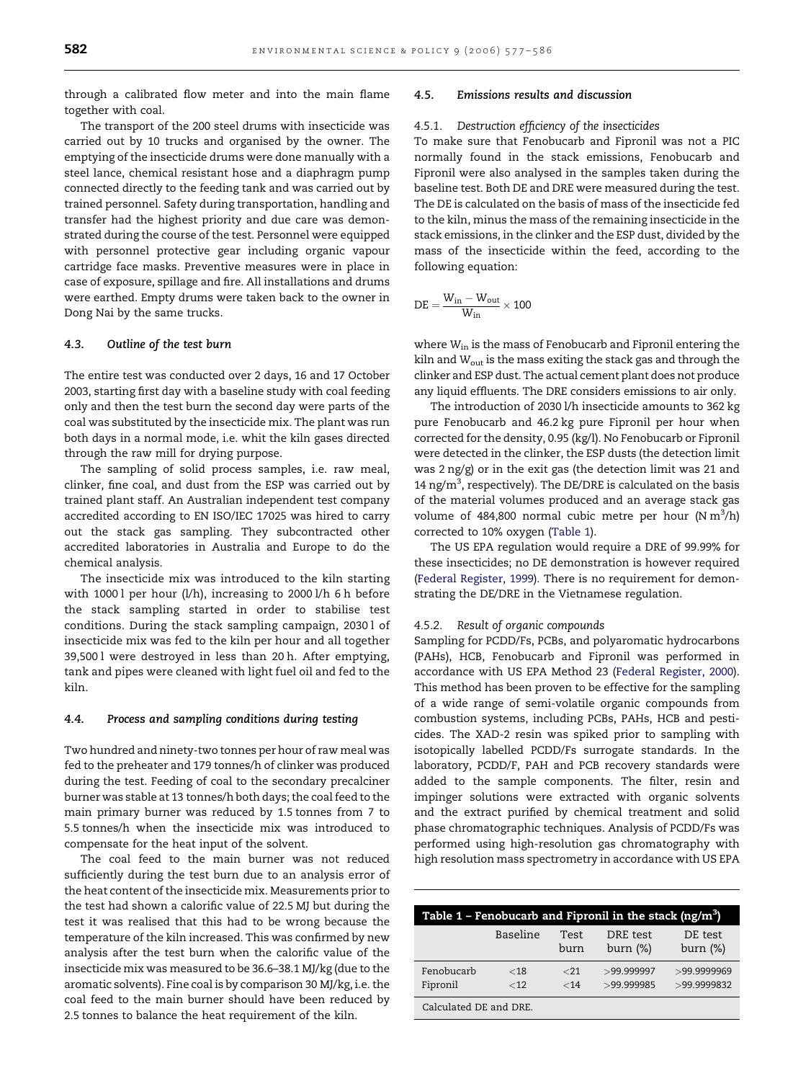through a calibrated flow meter and into the main flame together with coal.

The transport of the 200 steel drums with insecticide was carried out by 10 trucks and organised by the owner. The emptying of the insecticide drums were done manually with a steel lance, chemical resistant hose and a diaphragm pump connected directly to the feeding tank and was carried out by trained personnel. Safety during transportation, handling and transfer had the highest priority and due care was demonstrated during the course of the test. Personnel were equipped with personnel protective gear including organic vapour cartridge face masks. Preventive measures were in place in case of exposure, spillage and fire. All installations and drums were earthed. Empty drums were taken back to the owner in Dong Nai by the same trucks.

## 4.3. Outline of the test burn

The entire test was conducted over 2 days, 16 and 17 October 2003, starting first day with a baseline study with coal feeding only and then the test burn the second day were parts of the coal was substituted by the insecticide mix. The plant was run both days in a normal mode, i.e. whit the kiln gases directed through the raw mill for drying purpose.

The sampling of solid process samples, i.e. raw meal, clinker, fine coal, and dust from the ESP was carried out by trained plant staff. An Australian independent test company accredited according to EN ISO/IEC 17025 was hired to carry out the stack gas sampling. They subcontracted other accredited laboratories in Australia and Europe to do the chemical analysis.

The insecticide mix was introduced to the kiln starting with 1000 l per hour (l/h), increasing to 2000 l/h 6 h before the stack sampling started in order to stabilise test conditions. During the stack sampling campaign, 2030 l of insecticide mix was fed to the kiln per hour and all together 39,500 l were destroyed in less than 20 h. After emptying, tank and pipes were cleaned with light fuel oil and fed to the kiln.

## 4.4. Process and sampling conditions during testing

Two hundred and ninety-two tonnes per hour of raw meal was fed to the preheater and 179 tonnes/h of clinker was produced during the test. Feeding of coal to the secondary precalciner burner was stable at 13 tonnes/h both days; the coal feed to the main primary burner was reduced by 1.5 tonnes from 7 to 5.5 tonnes/h when the insecticide mix was introduced to compensate for the heat input of the solvent.

The coal feed to the main burner was not reduced sufficiently during the test burn due to an analysis error of the heat content of the insecticide mix. Measurements prior to the test had shown a calorific value of 22.5 MJ but during the test it was realised that this had to be wrong because the temperature of the kiln increased. This was confirmed by new analysis after the test burn when the calorific value of the insecticide mix was measured to be 36.6–38.1 MJ/kg (due to the aromatic solvents). Fine coal is by comparison 30 MJ/kg, i.e. the coal feed to the main burner should have been reduced by 2.5 tonnes to balance the heat requirement of the kiln.

# 4.5. Emissions results and discussion

#### 4.5.1. Destruction efficiency of the insecticides

To make sure that Fenobucarb and Fipronil was not a PIC normally found in the stack emissions, Fenobucarb and Fipronil were also analysed in the samples taken during the baseline test. Both DE and DRE were measured during the test. The DE is calculated on the basis of mass of the insecticide fed to the kiln, minus the mass of the remaining insecticide in the stack emissions, in the clinker and the ESP dust, divided by the mass of the insecticide within the feed, according to the following equation:

$$
DE = \frac{W_{in} - W_{out}}{W_{in}} \times 100
$$

where  $W_{\text{in}}$  is the mass of Fenobucarb and Fipronil entering the kiln and Wout is the mass exiting the stack gas and through the clinker and ESP dust. The actual cement plant does not produce any liquid effluents. The DRE considers emissions to air only.

The introduction of 2030 l/h insecticide amounts to 362 kg pure Fenobucarb and 46.2 kg pure Fipronil per hour when corrected for the density, 0.95 (kg/l). No Fenobucarb or Fipronil were detected in the clinker, the ESP dusts (the detection limit was 2 ng/g) or in the exit gas (the detection limit was 21 and 14 ng/ $m^3$ , respectively). The DE/DRE is calculated on the basis of the material volumes produced and an average stack gas volume of 484,800 normal cubic metre per hour  $(N \, \text{m}^3/\text{h})$ corrected to 10% oxygen (Table 1).

The US EPA regulation would require a DRE of 99.99% for these insecticides; no DE demonstration is however required ([Federal Register, 1999\)](#page-8-0). There is no requirement for demonstrating the DE/DRE in the Vietnamese regulation.

#### 4.5.2. Result of organic compounds

Sampling for PCDD/Fs, PCBs, and polyaromatic hydrocarbons (PAHs), HCB, Fenobucarb and Fipronil was performed in accordance with US EPA Method 23 ([Federal Register, 2000\)](#page-8-0). This method has been proven to be effective for the sampling of a wide range of semi-volatile organic compounds from combustion systems, including PCBs, PAHs, HCB and pesticides. The XAD-2 resin was spiked prior to sampling with isotopically labelled PCDD/Fs surrogate standards. In the laboratory, PCDD/F, PAH and PCB recovery standards were added to the sample components. The filter, resin and impinger solutions were extracted with organic solvents and the extract purified by chemical treatment and solid phase chromatographic techniques. Analysis of PCDD/Fs was performed using high-resolution gas chromatography with high resolution mass spectrometry in accordance with US EPA

| Table 1 - Fenobucarb and Fipronil in the stack $(ng/m^3)$ |             |                |                          |                            |  |  |
|-----------------------------------------------------------|-------------|----------------|--------------------------|----------------------------|--|--|
|                                                           | Baseline    | Test<br>burn   | DRE test<br>burn (%)     | DE test<br>burn (%)        |  |  |
| Fenobucarb<br>Fipronil                                    | <18<br>< 12 | $<$ 21<br>< 14 | >99.999997<br>>99.999985 | >99.9999969<br>>99.9999832 |  |  |
| Calculated DE and DRE                                     |             |                |                          |                            |  |  |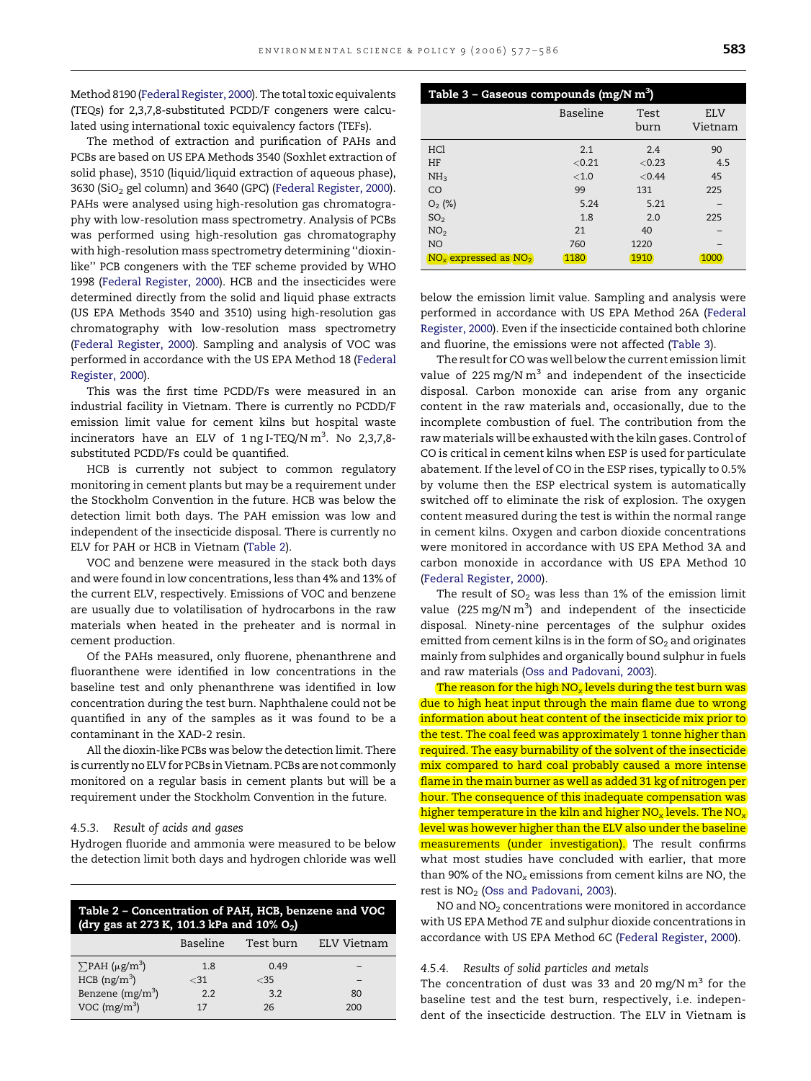Method 8190 ([Federal Register, 2000\)](#page-8-0). The total toxic equivalents (TEQs) for 2,3,7,8-substituted PCDD/F congeners were calculated using international toxic equivalency factors (TEFs).

The method of extraction and purification of PAHs and PCBs are based on US EPA Methods 3540 (Soxhlet extraction of solid phase), 3510 (liquid/liquid extraction of aqueous phase), 3630 (SiO2 gel column) and 3640 (GPC) [\(Federal Register, 2000](#page-8-0)). PAHs were analysed using high-resolution gas chromatography with low-resolution mass spectrometry. Analysis of PCBs was performed using high-resolution gas chromatography with high-resolution mass spectrometry determining ''dioxinlike'' PCB congeners with the TEF scheme provided by WHO 1998 [\(Federal Register, 2000](#page-8-0)). HCB and the insecticides were determined directly from the solid and liquid phase extracts (US EPA Methods 3540 and 3510) using high-resolution gas chromatography with low-resolution mass spectrometry [\(Federal Register, 2000\)](#page-8-0). Sampling and analysis of VOC was performed in accordance with the US EPA Method 18 [\(Federal](#page-8-0) [Register, 2000\)](#page-8-0).

This was the first time PCDD/Fs were measured in an industrial facility in Vietnam. There is currently no PCDD/F emission limit value for cement kilns but hospital waste incinerators have an ELV of 1 ng I-TEQ/N  $\mathrm{m}^{3}$ . No 2,3,7,8substituted PCDD/Fs could be quantified.

HCB is currently not subject to common regulatory monitoring in cement plants but may be a requirement under the Stockholm Convention in the future. HCB was below the detection limit both days. The PAH emission was low and independent of the insecticide disposal. There is currently no ELV for PAH or HCB in Vietnam (Table 2).

VOC and benzene were measured in the stack both days and were found in low concentrations, less than 4% and 13% of the current ELV, respectively. Emissions of VOC and benzene are usually due to volatilisation of hydrocarbons in the raw materials when heated in the preheater and is normal in cement production.

Of the PAHs measured, only fluorene, phenanthrene and fluoranthene were identified in low concentrations in the baseline test and only phenanthrene was identified in low concentration during the test burn. Naphthalene could not be quantified in any of the samples as it was found to be a contaminant in the XAD-2 resin.

All the dioxin-like PCBs was below the detection limit. There is currently no ELV for PCBs in Vietnam. PCBs are not commonly monitored on a regular basis in cement plants but will be a requirement under the Stockholm Convention in the future.

#### 4.5.3. Result of acids and gases

Hydrogen fluoride and ammonia were measured to be below the detection limit both days and hydrogen chloride was well

| Table 2 - Concentration of PAH, HCB, benzene and VOC<br>(dry gas at 273 K, 101.3 kPa and 10% $O_2$ ) |          |           |             |  |  |  |
|------------------------------------------------------------------------------------------------------|----------|-----------|-------------|--|--|--|
|                                                                                                      | Baseline | Test burn | ELV Vietnam |  |  |  |
| $\sum$ PAH ( $\mu$ g/m <sup>3</sup> )                                                                | 1.8      | 0.49      |             |  |  |  |
| $HCB$ (ng/m <sup>3</sup> )                                                                           | < 31     | <35       |             |  |  |  |
| Benzene $(mg/m^3)$                                                                                   | 2.2      | 3.2       | 80          |  |  |  |
| VOC $(mg/m^3)$                                                                                       | 17       | 26        | 200         |  |  |  |

| Table 3 - Gaseous compounds (mg/N m <sup>3</sup> ) |          |              |                       |  |  |  |
|----------------------------------------------------|----------|--------------|-----------------------|--|--|--|
|                                                    | Baseline | Test<br>burn | <b>ELV</b><br>Vietnam |  |  |  |
| HC <sub>1</sub>                                    | 2.1      | 2.4          | 90                    |  |  |  |
| HF                                                 | < 0.21   | < 0.23       | 4.5                   |  |  |  |
| NH <sub>3</sub>                                    | < 1.0    | < 0.44       | 45                    |  |  |  |
| CO                                                 | 99       | 131          | 225                   |  |  |  |
| $O_2$ (%)                                          | 5.24     | 5.21         | -                     |  |  |  |
| SO <sub>2</sub>                                    | 1.8      | 2.0          | 225                   |  |  |  |
| NO <sub>2</sub>                                    | 21       | 40           |                       |  |  |  |
| N <sub>O</sub>                                     | 760      | 1220         |                       |  |  |  |
| $NO_x$ expressed as $NO_2$                         | 1180     | 1910         | 1000                  |  |  |  |

below the emission limit value. Sampling and analysis were performed in accordance with US EPA Method 26A [\(Federal](#page-8-0) [Register, 2000\)](#page-8-0). Even if the insecticide contained both chlorine and fluorine, the emissions were not affected (Table 3).

The result for CO was well below the current emission limit value of 225 mg/N  $m^3$  and independent of the insecticide disposal. Carbon monoxide can arise from any organic content in the raw materials and, occasionally, due to the incomplete combustion of fuel. The contribution from the rawmaterials will be exhausted with the kiln gases. Control of CO is critical in cement kilns when ESP is used for particulate abatement. If the level of CO in the ESP rises, typically to 0.5% by volume then the ESP electrical system is automatically switched off to eliminate the risk of explosion. The oxygen content measured during the test is within the normal range in cement kilns. Oxygen and carbon dioxide concentrations were monitored in accordance with US EPA Method 3A and carbon monoxide in accordance with US EPA Method 10 [\(Federal Register, 2000\)](#page-8-0).

The result of  $SO<sub>2</sub>$  was less than 1% of the emission limit value  $(225 \text{ mg/N m}^3)$  and independent of the insecticide disposal. Ninety-nine percentages of the sulphur oxides emitted from cement kilns is in the form of  $SO<sub>2</sub>$  and originates mainly from sulphides and organically bound sulphur in fuels and raw materials ([Oss and Padovani, 2003](#page-9-0)).

The reason for the high  $NO_x$  levels during the test burn was due to high heat input through the main flame due to wrong information about heat content of the insecticide mix prior to the test. The coal feed was approximately 1 tonne higher than required. The easy burnability of the solvent of the insecticide mix compared to hard coal probably caused a more intense flame in the main burner as well as added 31 kg of nitrogen per hour. The consequence of this inadequate compensation was higher temperature in the kiln and higher  $NO_x$  levels. The  $NO_x$ level was however higher than the ELV also under the baseline measurements (under investigation). The result confirms what most studies have concluded with earlier, that more than 90% of the  $NO<sub>x</sub>$  emissions from cement kilns are NO, the rest is NO<sub>2</sub> [\(Oss and Padovani, 2003](#page-9-0)).

NO and  $NO<sub>2</sub>$  concentrations were monitored in accordance with US EPA Method 7E and sulphur dioxide concentrations in accordance with US EPA Method 6C ([Federal Register, 2000\)](#page-8-0).

#### 4.5.4. Results of solid particles and metals

The concentration of dust was 33 and 20 mg/N  $m<sup>3</sup>$  for the baseline test and the test burn, respectively, i.e. independent of the insecticide destruction. The ELV in Vietnam is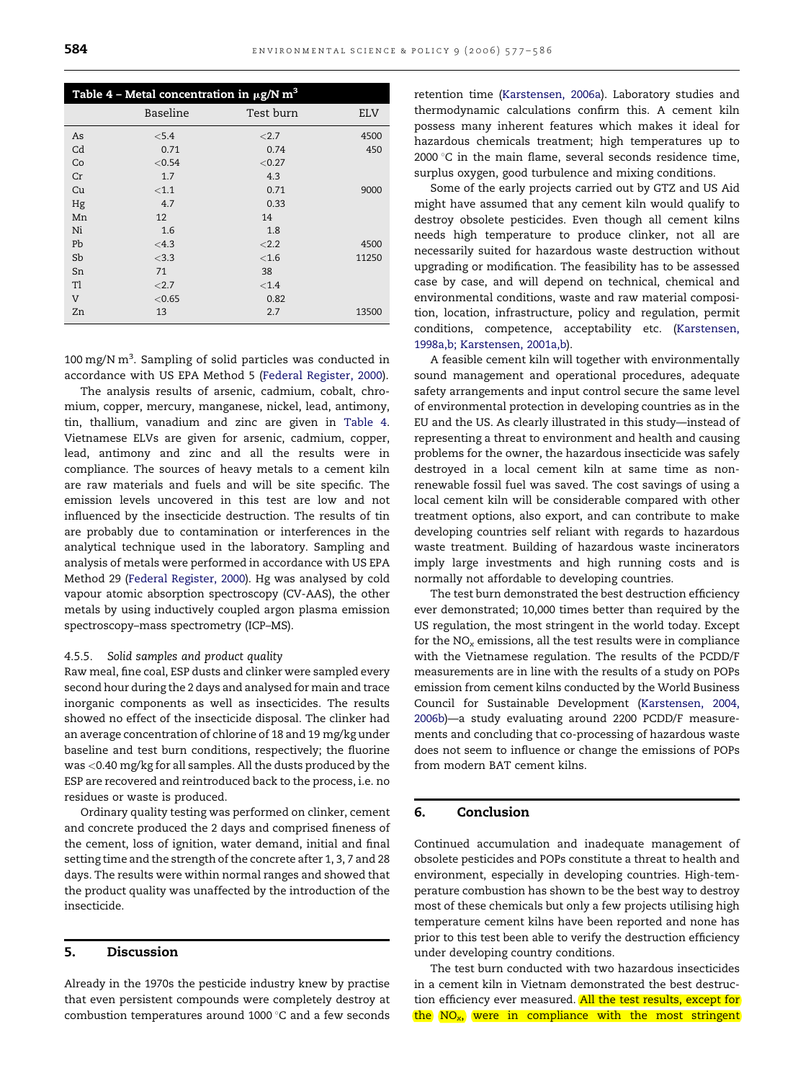| Table 4 – Metal concentration in $\mu$ g/N m <sup>3</sup> |          |           |            |  |  |
|-----------------------------------------------------------|----------|-----------|------------|--|--|
|                                                           | Baseline | Test burn | <b>ELV</b> |  |  |
| As                                                        | < 5.4    | ${<}2.7$  | 4500       |  |  |
| C <sub>d</sub>                                            | 0.71     | 0.74      | 450        |  |  |
| Co                                                        | < 0.54   | < 0.27    |            |  |  |
| Cr                                                        | 1.7      | 4.3       |            |  |  |
| Cu                                                        | ${<}1.1$ | 0.71      | 9000       |  |  |
| Hg                                                        | 4.7      | 0.33      |            |  |  |
| Mn                                                        | 12       | 14        |            |  |  |
| Ni                                                        | 1.6      | 1.8       |            |  |  |
| Pb                                                        | <4.3     | ${<}2.2$  | 4500       |  |  |
| Sb                                                        | < 3.3    | < 1.6     | 11250      |  |  |
| Sn                                                        | 71       | 38        |            |  |  |
| Tl                                                        | < 2.7    | < 1.4     |            |  |  |
| V                                                         | < 0.65   | 0.82      |            |  |  |
| Zn                                                        | 13       | 2.7       | 13500      |  |  |

 $100 \,\mathrm{mg/N}$  m<sup>3</sup>. Sampling of solid particles was conducted in accordance with US EPA Method 5 [\(Federal Register, 2000\)](#page-8-0).

The analysis results of arsenic, cadmium, cobalt, chromium, copper, mercury, manganese, nickel, lead, antimony, tin, thallium, vanadium and zinc are given in Table 4. Vietnamese ELVs are given for arsenic, cadmium, copper, lead, antimony and zinc and all the results were in compliance. The sources of heavy metals to a cement kiln are raw materials and fuels and will be site specific. The emission levels uncovered in this test are low and not influenced by the insecticide destruction. The results of tin are probably due to contamination or interferences in the analytical technique used in the laboratory. Sampling and analysis of metals were performed in accordance with US EPA Method 29 [\(Federal Register, 2000](#page-8-0)). Hg was analysed by cold vapour atomic absorption spectroscopy (CV-AAS), the other metals by using inductively coupled argon plasma emission spectroscopy–mass spectrometry (ICP–MS).

#### 4.5.5. Solid samples and product quality

Raw meal, fine coal, ESP dusts and clinker were sampled every second hour during the 2 days and analysed for main and trace inorganic components as well as insecticides. The results showed no effect of the insecticide disposal. The clinker had an average concentration of chlorine of 18 and 19 mg/kg under baseline and test burn conditions, respectively; the fluorine was <0.40 mg/kg for all samples. All the dusts produced by the ESP are recovered and reintroduced back to the process, i.e. no residues or waste is produced.

Ordinary quality testing was performed on clinker, cement and concrete produced the 2 days and comprised fineness of the cement, loss of ignition, water demand, initial and final setting time and the strength of the concrete after 1, 3, 7 and 28 days. The results were within normal ranges and showed that the product quality was unaffected by the introduction of the insecticide.

# 5. Discussion

Already in the 1970s the pesticide industry knew by practise that even persistent compounds were completely destroy at combustion temperatures around 1000 $\degree$ C and a few seconds

retention time [\(Karstensen, 2006a](#page-9-0)). Laboratory studies and thermodynamic calculations confirm this. A cement kiln possess many inherent features which makes it ideal for hazardous chemicals treatment; high temperatures up to 2000 $\degree$ C in the main flame, several seconds residence time, surplus oxygen, good turbulence and mixing conditions.

Some of the early projects carried out by GTZ and US Aid might have assumed that any cement kiln would qualify to destroy obsolete pesticides. Even though all cement kilns needs high temperature to produce clinker, not all are necessarily suited for hazardous waste destruction without upgrading or modification. The feasibility has to be assessed case by case, and will depend on technical, chemical and environmental conditions, waste and raw material composition, location, infrastructure, policy and regulation, permit conditions, competence, acceptability etc. [\(Karstensen,](#page-8-0) [1998a,b; Karstensen, 2001a,b](#page-8-0)).

A feasible cement kiln will together with environmentally sound management and operational procedures, adequate safety arrangements and input control secure the same level of environmental protection in developing countries as in the EU and the US. As clearly illustrated in this study—instead of representing a threat to environment and health and causing problems for the owner, the hazardous insecticide was safely destroyed in a local cement kiln at same time as nonrenewable fossil fuel was saved. The cost savings of using a local cement kiln will be considerable compared with other treatment options, also export, and can contribute to make developing countries self reliant with regards to hazardous waste treatment. Building of hazardous waste incinerators imply large investments and high running costs and is normally not affordable to developing countries.

The test burn demonstrated the best destruction efficiency ever demonstrated; 10,000 times better than required by the US regulation, the most stringent in the world today. Except for the  $NO<sub>x</sub>$  emissions, all the test results were in compliance with the Vietnamese regulation. The results of the PCDD/F measurements are in line with the results of a study on POPs emission from cement kilns conducted by the World Business Council for Sustainable Development ([Karstensen, 2004,](#page-9-0) [2006b\)](#page-9-0)—a study evaluating around 2200 PCDD/F measurements and concluding that co-processing of hazardous waste does not seem to influence or change the emissions of POPs from modern BAT cement kilns.

# 6. Conclusion

Continued accumulation and inadequate management of obsolete pesticides and POPs constitute a threat to health and environment, especially in developing countries. High-temperature combustion has shown to be the best way to destroy most of these chemicals but only a few projects utilising high temperature cement kilns have been reported and none has prior to this test been able to verify the destruction efficiency under developing country conditions.

The test burn conducted with two hazardous insecticides in a cement kiln in Vietnam demonstrated the best destruction efficiency ever measured. All the test results, except for the  $NO<sub>x</sub>$ , were in compliance with the most stringent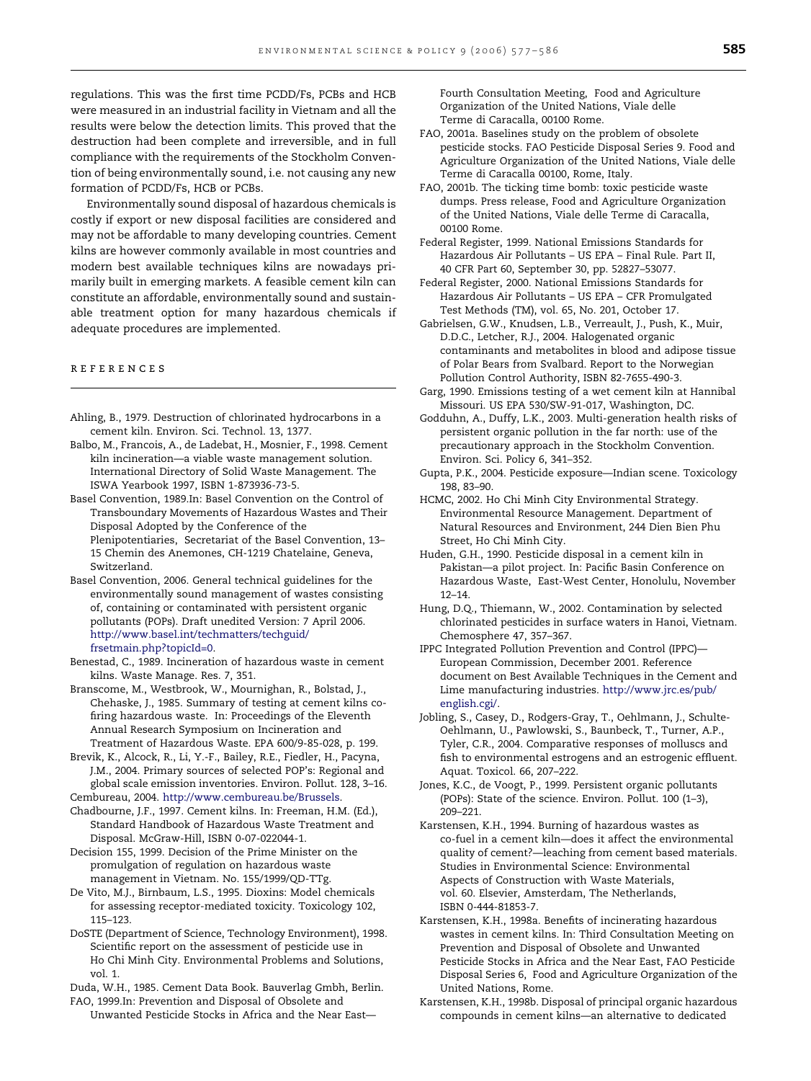<span id="page-8-0"></span>regulations. This was the first time PCDD/Fs, PCBs and HCB were measured in an industrial facility in Vietnam and all the results were below the detection limits. This proved that the destruction had been complete and irreversible, and in full compliance with the requirements of the Stockholm Convention of being environmentally sound, i.e. not causing any new formation of PCDD/Fs, HCB or PCBs.

Environmentally sound disposal of hazardous chemicals is costly if export or new disposal facilities are considered and may not be affordable to many developing countries. Cement kilns are however commonly available in most countries and modern best available techniques kilns are nowadays primarily built in emerging markets. A feasible cement kiln can constitute an affordable, environmentally sound and sustainable treatment option for many hazardous chemicals if adequate procedures are implemented.

## references

- Ahling, B., 1979. Destruction of chlorinated hydrocarbons in a cement kiln. Environ. Sci. Technol. 13, 1377.
- Balbo, M., Francois, A., de Ladebat, H., Mosnier, F., 1998. Cement kiln incineration—a viable waste management solution. International Directory of Solid Waste Management. The ISWA Yearbook 1997, ISBN 1-873936-73-5.
- Basel Convention, 1989.In: Basel Convention on the Control of Transboundary Movements of Hazardous Wastes and Their Disposal Adopted by the Conference of the Plenipotentiaries, Secretariat of the Basel Convention, 13– 15 Chemin des Anemones, CH-1219 Chatelaine, Geneva, Switzerland.
- Basel Convention, 2006. General technical guidelines for the environmentally sound management of wastes consisting of, containing or contaminated with persistent organic pollutants (POPs). Draft unedited Version: 7 April 2006. [http://www.basel.int/techmatters/techguid/](http://www.basel.int/techmatters/techguid/frsetmain.php?topicId=0) [frsetmain.php?topicId=0](http://www.basel.int/techmatters/techguid/frsetmain.php?topicId=0).
- Benestad, C., 1989. Incineration of hazardous waste in cement kilns. Waste Manage. Res. 7, 351.
- Branscome, M., Westbrook, W., Mournighan, R., Bolstad, J., Chehaske, J., 1985. Summary of testing at cement kilns cofiring hazardous waste. In: Proceedings of the Eleventh Annual Research Symposium on Incineration and Treatment of Hazardous Waste. EPA 600/9-85-028, p. 199.
- Brevik, K., Alcock, R., Li, Y.-F., Bailey, R.E., Fiedler, H., Pacyna, J.M., 2004. Primary sources of selected POP's: Regional and global scale emission inventories. Environ. Pollut. 128, 3–16.
- Cembureau, 2004. [http://www.cembureau.be/Brussels.](http://www.cembureau.be/Brussels)
- Chadbourne, J.F., 1997. Cement kilns. In: Freeman, H.M. (Ed.), Standard Handbook of Hazardous Waste Treatment and Disposal. McGraw-Hill, ISBN 0-07-022044-1.
- Decision 155, 1999. Decision of the Prime Minister on the promulgation of regulation on hazardous waste management in Vietnam. No. 155/1999/QD-TTg.
- De Vito, M.J., Birnbaum, L.S., 1995. Dioxins: Model chemicals for assessing receptor-mediated toxicity. Toxicology 102, 115–123.
- DoSTE (Department of Science, Technology Environment), 1998. Scientific report on the assessment of pesticide use in Ho Chi Minh City. Environmental Problems and Solutions, vol. 1.
- Duda, W.H., 1985. Cement Data Book. Bauverlag Gmbh, Berlin. FAO, 1999.In: Prevention and Disposal of Obsolete and Unwanted Pesticide Stocks in Africa and the Near East—

Fourth Consultation Meeting, Food and Agriculture Organization of the United Nations, Viale delle Terme di Caracalla, 00100 Rome.

- FAO, 2001a. Baselines study on the problem of obsolete pesticide stocks. FAO Pesticide Disposal Series 9. Food and Agriculture Organization of the United Nations, Viale delle Terme di Caracalla 00100, Rome, Italy.
- FAO, 2001b. The ticking time bomb: toxic pesticide waste dumps. Press release, Food and Agriculture Organization of the United Nations, Viale delle Terme di Caracalla, 00100 Rome.
- Federal Register, 1999. National Emissions Standards for Hazardous Air Pollutants – US EPA – Final Rule. Part II, 40 CFR Part 60, September 30, pp. 52827–53077.
- Federal Register, 2000. National Emissions Standards for Hazardous Air Pollutants – US EPA – CFR Promulgated Test Methods (TM), vol. 65, No. 201, October 17.
- Gabrielsen, G.W., Knudsen, L.B., Verreault, J., Push, K., Muir, D.D.C., Letcher, R.J., 2004. Halogenated organic contaminants and metabolites in blood and adipose tissue of Polar Bears from Svalbard. Report to the Norwegian Pollution Control Authority, ISBN 82-7655-490-3.
- Garg, 1990. Emissions testing of a wet cement kiln at Hannibal Missouri. US EPA 530/SW-91-017, Washington, DC.
- Godduhn, A., Duffy, L.K., 2003. Multi-generation health risks of persistent organic pollution in the far north: use of the precautionary approach in the Stockholm Convention. Environ. Sci. Policy 6, 341–352.
- Gupta, P.K., 2004. Pesticide exposure—Indian scene. Toxicology 198, 83–90.
- HCMC, 2002. Ho Chi Minh City Environmental Strategy. Environmental Resource Management. Department of Natural Resources and Environment, 244 Dien Bien Phu Street, Ho Chi Minh City.
- Huden, G.H., 1990. Pesticide disposal in a cement kiln in Pakistan—a pilot project. In: Pacific Basin Conference on Hazardous Waste, East-West Center, Honolulu, November 12–14.
- Hung, D.Q., Thiemann, W., 2002. Contamination by selected chlorinated pesticides in surface waters in Hanoi, Vietnam. Chemosphere 47, 357–367.
- IPPC Integrated Pollution Prevention and Control (IPPC)— European Commission, December 2001. Reference document on Best Available Techniques in the Cement and Lime manufacturing industries. [http://www.jrc.es/pub/](http://www.jrc.es/pub/english.cgi/) [english.cgi/](http://www.jrc.es/pub/english.cgi/).
- Jobling, S., Casey, D., Rodgers-Gray, T., Oehlmann, J., Schulte-Oehlmann, U., Pawlowski, S., Baunbeck, T., Turner, A.P., Tyler, C.R., 2004. Comparative responses of molluscs and fish to environmental estrogens and an estrogenic effluent. Aquat. Toxicol. 66, 207–222.
- Jones, K.C., de Voogt, P., 1999. Persistent organic pollutants (POPs): State of the science. Environ. Pollut. 100 (1–3), 209–221.
- Karstensen, K.H., 1994. Burning of hazardous wastes as co-fuel in a cement kiln—does it affect the environmental quality of cement?—leaching from cement based materials. Studies in Environmental Science: Environmental Aspects of Construction with Waste Materials, vol. 60. Elsevier, Amsterdam, The Netherlands, ISBN 0-444-81853-7.
- Karstensen, K.H., 1998a. Benefits of incinerating hazardous wastes in cement kilns. In: Third Consultation Meeting on Prevention and Disposal of Obsolete and Unwanted Pesticide Stocks in Africa and the Near East, FAO Pesticide Disposal Series 6, Food and Agriculture Organization of the United Nations, Rome.
- Karstensen, K.H., 1998b. Disposal of principal organic hazardous compounds in cement kilns—an alternative to dedicated